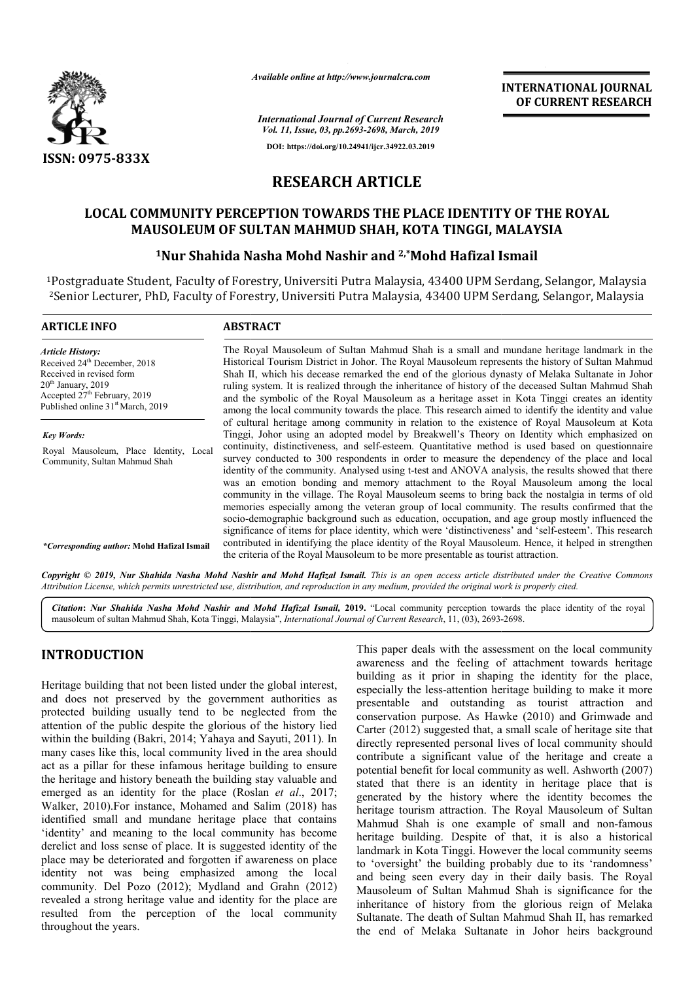

*Available online at http://www.journalcra.com*

*International Journal of Current Research Vol. 11, Issue, 03, pp.2693-2698, March, 2019* **DOI: https://doi.org/10.24941/ijcr.34922.03.2019**

**INTERNATIONAL JOURNAL OF CURRENT RESEARCH**

# **RESEARCH ARTICLE**

# **LOCAL COMMUNITY PERCEPTION TOWARDS THE PLACE IDENTITY OF THE ROYAL MAUSOLEUM OF SULTAN MAHMUD SHAH, KOTA TINGGI, MALAYSIA** LOCAL COMMUNITY PERCEPTION TOWARDS THE PLACE IDENTITY OF THE ROYAL<br>MAUSOLEUM OF SULTAN MAHMUD SHAH, KOTA TINGGI, MALAYSIA<br><sup>1</sup>Nur Shahida Nasha Mohd Nashir and <sup>2,\*</sup>Mohd Hafizal Ismail

## <sup>1</sup>Nur Shahida Nasha Mohd Nashir and <sup>2,\*</sup>Mohd Hafizal Ismail

1Postgraduate Student, Faculty of Forestry, Universiti Putra Malaysia, 43400 UPM Serdang, Selangor, Malaysia <sup>2</sup>Senior Lecturer, PhD, Faculty of Forestry, Universiti Putra Malaysia, 43400 UPM Serdang, Selangor, Malaysia

| <b>ARTICLE INFO</b>                                                                                                                                                                                                  | <b>ABSTRACT</b>                                                                                                                                                                                                                                                                                                                                                                                                                                                                                                                                                                                                                                                                                                                                                                                                                                                                                                                                                                                                 |  |  |  |  |
|----------------------------------------------------------------------------------------------------------------------------------------------------------------------------------------------------------------------|-----------------------------------------------------------------------------------------------------------------------------------------------------------------------------------------------------------------------------------------------------------------------------------------------------------------------------------------------------------------------------------------------------------------------------------------------------------------------------------------------------------------------------------------------------------------------------------------------------------------------------------------------------------------------------------------------------------------------------------------------------------------------------------------------------------------------------------------------------------------------------------------------------------------------------------------------------------------------------------------------------------------|--|--|--|--|
| <b>Article History:</b><br>Received 24 <sup>th</sup> December, 2018<br>Received in revised form<br>$20th$ January, 2019<br>Accepted 27 <sup>th</sup> February, 2019<br>Published online 31 <sup>st</sup> March, 2019 | The Royal Mausoleum of Sultan Mahmud Shah is a small and mundane heritage landmark in the<br>Historical Tourism District in Johor. The Royal Mausoleum represents the history of Sultan Mahmud<br>Shah II, which his decease remarked the end of the glorious dynasty of Melaka Sultanate in Johor<br>ruling system. It is realized through the inheritance of history of the deceased Sultan Mahmud Shah<br>and the symbolic of the Royal Mausoleum as a heritage asset in Kota Tinggi creates an identity<br>among the local community towards the place. This research aimed to identify the identity and value                                                                                                                                                                                                                                                                                                                                                                                              |  |  |  |  |
| <b>Key Words:</b><br>Royal Mausoleum, Place Identity, Local<br>Community, Sultan Mahmud Shah                                                                                                                         | of cultural heritage among community in relation to the existence of Royal Mausoleum at Kota<br>Tinggi, Johor using an adopted model by Breakwell's Theory on Identity which emphasized on<br>continuity, distinctiveness, and self-esteem. Quantitative method is used based on questionnaire<br>survey conducted to 300 respondents in order to measure the dependency of the place and local<br>identity of the community. Analysed using t-test and ANOVA analysis, the results showed that there<br>was an emotion bonding and memory attachment to the Royal Mausoleum among the local<br>community in the village. The Royal Mausoleum seems to bring back the nostalgia in terms of old<br>memories especially among the veteran group of local community. The results confirmed that the<br>socio-demographic background such as education, occupation, and age group mostly influenced the<br>significance of items for place identity, which were 'distinctiveness' and 'self-esteem'. This research |  |  |  |  |
| <i>*Corresponding author:</i> Mohd Hafizal Ismail                                                                                                                                                                    | contributed in identifying the place identity of the Royal Mausoleum. Hence, it helped in strengthen<br>the criteria of the Royal Mausoleum to be more presentable as tourist attraction.                                                                                                                                                                                                                                                                                                                                                                                                                                                                                                                                                                                                                                                                                                                                                                                                                       |  |  |  |  |

Copyright © 2019, Nur Shahida Nasha Mohd Nashir and Mohd Hafizal Ismail. This is an open access article distributed under the Creative Commons Attribution License, which permits unrestricted use, distribution, and reproduction in any medium, provided the original work is properly cited.

Citation: Nur Shahida Nasha Mohd Nashir and Mohd Hafizal Ismail, 2019. "Local community perception towards the place identity of the royal mausoleum of sultan Mahmud Shah, Kota Tinggi, Malaysia", *International Journal of* mausoleum of sultan Mahmud Shah, Kota Tinggi, Malaysia", *International Journal of Current Research*, 11, (03), 2693-

# **INTRODUCTION**

Heritage building that not been listed under the global interest, and does not preserved by the government authorities as protected building usually tend to be neglected from the attention of the public despite the glorious of the history lied within the building (Bakri, 2014; Yahaya and Sayuti, 2011). In many cases like this, local community lived in the area should act as a pillar for these infamous heritage building to ensure the heritage and history beneath the building stay valuable and emerged as an identity for the place (Roslan *et al*., 2017; Walker, 2010).For instance, Mohamed and Salim (2018) has identified small and mundane heritage place that contains 'identity' and meaning to the local community has become derelict and loss sense of place. It is suggested identity of the place may be deteriorated and forgotten if awareness on place identity not was being emphasized among the local community. Del Pozo (2012); Mydland and Grahn (2012) revealed a strong heritage value and identity for the place are resulted from the perception of the local community throughout the years.

**TRODUCTION**<br>
This paper deals with the assessment on the local community<br>
intige building that not been listed under the global interest,<br>
building as it prior in shaping the identity for the place.<br>
I does not preserved awareness and the feeling of attachment towards heritage building as it prior in shaping the identity for the place, especially the less-attention heritage building to make it more presentable and outstanding as tourist attraction and conservation purpose. As Hawke (2010) and Grimwade and Carter (2012) suggested that, a small scale of heritage site that directly represented personal lives of local community should contribute a significant value of the heritage and create a potential benefit for local community as well. Ashworth (2007) stated that there is an identity in heritage place that is generated by the history where the identity becomes the heritage tourism attraction. The Royal Mausoleum of Sultan Mahmud Shah is one example of small and non-famous heritage building. Despite of that, it is also a historical landmark in Kota Tinggi. However the local community seems to 'oversight' the building probably due to its 'randomness' and being seen every day in their daily basis. The Royal heritage building. Despite of that, it is also a historical landmark in Kota Tinggi. However the local community seems to 'oversight' the building probably due to its 'randomness' and being seen every day in their daily ba inheritance of history from the glorious reign of Melaka Sultanate. The death of Sultan Mahmud Shah II, has remarked the end of Melaka Sultanate in Johor heirs background awareness and the feeling of attachment towards heritage building as it prior in shaping the identity for the place, especially the less-attention heritage building to make it more presentable and coutstanding as tourist a the history where the identity becomes the<br>m attraction. The Royal Mausoleum of Sultan<br>is one example of small and non-famous INTERNATIONAL JOURNAL<br>
OF CURRENT RESEARCH<br>
OF CURRENT RESEARCH<br>
OF CURRENT RESEARCH<br>
GGI, MALAYSIA<br>
IGGI, MALAYSIA<br>
IGGI, MALAYSIA<br>
IGGI, MALAYSIA<br>
IDPM Serdang, Selangor, Malaysia<br>
UPM Serdang, Selangor, Malaysia<br>
UPM Se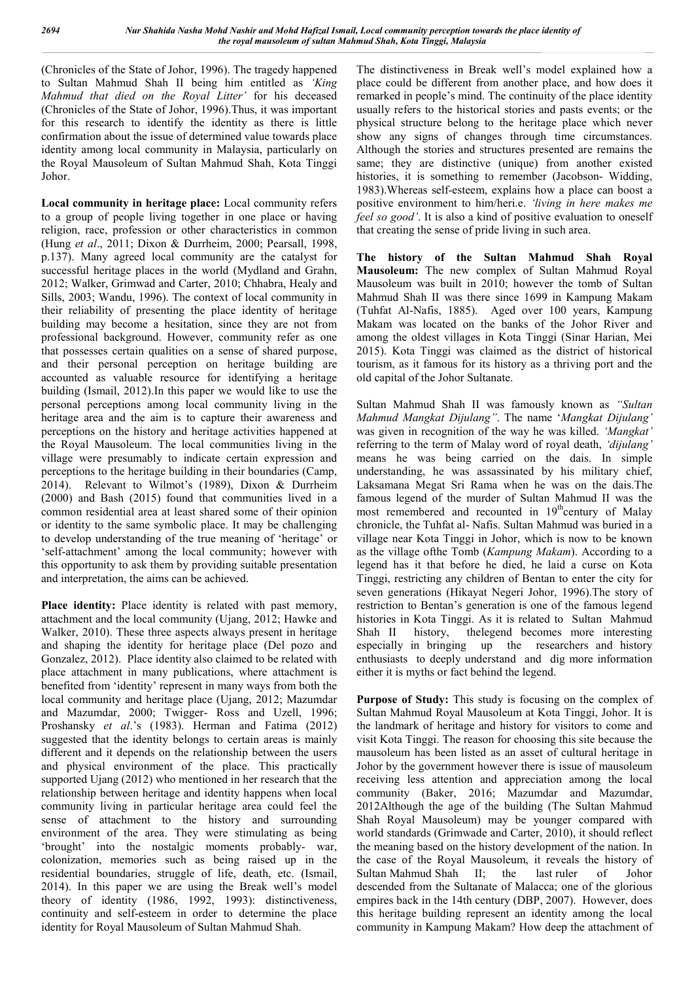(Chronicles of the State of Johor, 1996). The tragedy happened to Sultan Mahmud Shah II being him entitled as *'King Mahmud that died on the Royal Litter'* for his deceased (Chronicles of the State of Johor, 1996).Thus, it was important for this research to identify the identity as there is little confirmation about the issue of determined value towards place identity among local community in Malaysia, particularly on the Royal Mausoleum of Sultan Mahmud Shah, Kota Tinggi Johor.

**Local community in heritage place:** Local community refers to a group of people living together in one place or having religion, race, profession or other characteristics in common (Hung *et al*., 2011; Dixon & Durrheim, 2000; Pearsall, 1998, p.137). Many agreed local community are the catalyst for successful heritage places in the world (Mydland and Grahn, 2012; Walker, Grimwad and Carter, 2010; Chhabra, Healy and Sills, 2003; Wandu, 1996). The context of local community in their reliability of presenting the place identity of heritage building may become a hesitation, since they are not from professional background. However, community refer as one that possesses certain qualities on a sense of shared purpose, and their personal perception on heritage building are accounted as valuable resource for identifying a heritage building (Ismail, 2012).In this paper we would like to use the personal perceptions among local community living in the heritage area and the aim is to capture their awareness and perceptions on the history and heritage activities happened at the Royal Mausoleum. The local communities living in the village were presumably to indicate certain expression and perceptions to the heritage building in their boundaries (Camp, 2014). Relevant to Wilmot's (1989), Dixon & Durrheim (2000) and Bash (2015) found that communities lived in a common residential area at least shared some of their opinion or identity to the same symbolic place. It may be challenging to develop understanding of the true meaning of 'heritage' or 'self-attachment' among the local community; however with this opportunity to ask them by providing suitable presentation and interpretation, the aims can be achieved.

Place identity: Place identity is related with past memory, attachment and the local community (Ujang, 2012; Hawke and Walker, 2010). These three aspects always present in heritage and shaping the identity for heritage place (Del pozo and Gonzalez, 2012). Place identity also claimed to be related with place attachment in many publications, where attachment is benefited from 'identity' represent in many ways from both the local community and heritage place (Ujang, 2012; Mazumdar and Mazumdar, 2000; Twigger- Ross and Uzell, 1996; Proshansky *et al*.'s (1983). Herman and Fatima (2012) suggested that the identity belongs to certain areas is mainly different and it depends on the relationship between the users and physical environment of the place. This practically supported Ujang (2012) who mentioned in her research that the relationship between heritage and identity happens when local community living in particular heritage area could feel the sense of attachment to the history and surrounding environment of the area. They were stimulating as being 'brought' into the nostalgic moments probably- war, colonization, memories such as being raised up in the residential boundaries, struggle of life, death, etc. (Ismail, 2014). In this paper we are using the Break well's model theory of identity (1986, 1992, 1993): distinctiveness, continuity and self-esteem in order to determine the place identity for Royal Mausoleum of Sultan Mahmud Shah.

The distinctiveness in Break well's model explained how a place could be different from another place, and how does it remarked in people's mind. The continuity of the place identity usually refers to the historical stories and pasts events; or the physical structure belong to the heritage place which never show any signs of changes through time circumstances. Although the stories and structures presented are remains the same; they are distinctive (unique) from another existed histories, it is something to remember (Jacobson- Widding, 1983).Whereas self-esteem, explains how a place can boost a positive environment to him/heri.e. *'living in here makes me feel so good'*. It is also a kind of positive evaluation to oneself that creating the sense of pride living in such area.

**The history of the Sultan Mahmud Shah Royal Mausoleum:** The new complex of Sultan Mahmud Royal Mausoleum was built in 2010; however the tomb of Sultan Mahmud Shah II was there since 1699 in Kampung Makam (Tuhfat Al-Nafis, 1885). Aged over 100 years, Kampung Makam was located on the banks of the Johor River and among the oldest villages in Kota Tinggi (Sinar Harian, Mei 2015). Kota Tinggi was claimed as the district of historical tourism, as it famous for its history as a thriving port and the old capital of the Johor Sultanate.

Sultan Mahmud Shah II was famously known as *"Sultan Mahmud Mangkat Dijulang"*. The name '*Mangkat Dijulang'* was given in recognition of the way he was killed. *'Mangkat'* referring to the term of Malay word of royal death, *'dijulang'* means he was being carried on the dais. In simple understanding, he was assassinated by his military chief, Laksamana Megat Sri Rama when he was on the dais.The famous legend of the murder of Sultan Mahmud II was the most remembered and recounted in  $19<sup>th</sup>$ century of Malay chronicle, the Tuhfat al- Nafis. Sultan Mahmud was buried in a village near Kota Tinggi in Johor, which is now to be known as the village ofthe Tomb (*Kampung Makam*). According to a legend has it that before he died, he laid a curse on Kota Tinggi, restricting any children of Bentan to enter the city for seven generations (Hikayat Negeri Johor, 1996).The story of restriction to Bentan's generation is one of the famous legend histories in Kota Tinggi. As it is related to Sultan Mahmud Shah II history, thelegend becomes more interesting especially in bringing up the researchers and history enthusiasts to deeply understand and dig more information either it is myths or fact behind the legend.

**Purpose of Study:** This study is focusing on the complex of Sultan Mahmud Royal Mausoleum at Kota Tinggi, Johor. It is the landmark of heritage and history for visitors to come and visit Kota Tinggi. The reason for choosing this site because the mausoleum has been listed as an asset of cultural heritage in Johor by the government however there is issue of mausoleum receiving less attention and appreciation among the local community (Baker, 2016; Mazumdar and Mazumdar, 2012Although the age of the building (The Sultan Mahmud Shah Royal Mausoleum) may be younger compared with world standards (Grimwade and Carter, 2010), it should reflect the meaning based on the history development of the nation. In the case of the Royal Mausoleum, it reveals the history of Sultan Mahmud Shah II; the last ruler of Johor descended from the Sultanate of Malacca; one of the glorious empires back in the 14th century (DBP, 2007). However, does this heritage building represent an identity among the local community in Kampung Makam? How deep the attachment of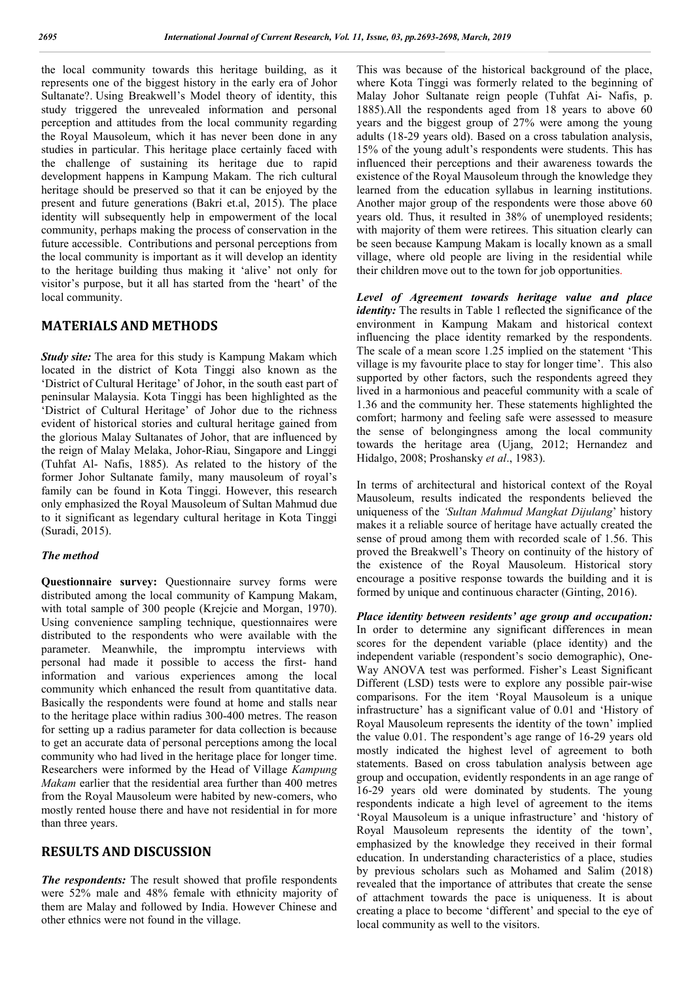the local community towards this heritage building, as it represents one of the biggest history in the early era of Johor Sultanate?. Using Breakwell's Model theory of identity, this study triggered the unrevealed information and personal perception and attitudes from the local community regarding the Royal Mausoleum, which it has never been done in any studies in particular. This heritage place certainly faced with the challenge of sustaining its heritage due to rapid development happens in Kampung Makam. The rich cultural heritage should be preserved so that it can be enjoyed by the present and future generations (Bakri et.al, 2015). The place identity will subsequently help in empowerment of the local community, perhaps making the process of conservation in the future accessible. Contributions and personal perceptions from the local community is important as it will develop an identity to the heritage building thus making it 'alive' not only for visitor's purpose, but it all has started from the 'heart' of the local community.

## **MATERIALS AND METHODS**

*Study site:* The area for this study is Kampung Makam which located in the district of Kota Tinggi also known as the 'District of Cultural Heritage' of Johor, in the south east part of peninsular Malaysia. Kota Tinggi has been highlighted as the 'District of Cultural Heritage' of Johor due to the richness evident of historical stories and cultural heritage gained from the glorious Malay Sultanates of Johor, that are influenced by the reign of Malay Melaka, Johor-Riau, Singapore and Linggi (Tuhfat Al- Nafis, 1885). As related to the history of the former Johor Sultanate family, many mausoleum of royal's family can be found in Kota Tinggi. However, this research only emphasized the Royal Mausoleum of Sultan Mahmud due to it significant as legendary cultural heritage in Kota Tinggi (Suradi, 2015).

#### *The method*

**Questionnaire survey:** Questionnaire survey forms were distributed among the local community of Kampung Makam, with total sample of 300 people (Krejcie and Morgan, 1970). Using convenience sampling technique, questionnaires were distributed to the respondents who were available with the parameter. Meanwhile, the impromptu interviews with personal had made it possible to access the first- hand information and various experiences among the local community which enhanced the result from quantitative data. Basically the respondents were found at home and stalls near to the heritage place within radius 300-400 metres. The reason for setting up a radius parameter for data collection is because to get an accurate data of personal perceptions among the local community who had lived in the heritage place for longer time. Researchers were informed by the Head of Village *Kampung Makam* earlier that the residential area further than 400 metres from the Royal Mausoleum were habited by new-comers, who mostly rented house there and have not residential in for more than three years.

### **RESULTS AND DISCUSSION**

*The respondents:* The result showed that profile respondents were 52% male and 48% female with ethnicity majority of them are Malay and followed by India. However Chinese and other ethnics were not found in the village.

This was because of the historical background of the place, where Kota Tinggi was formerly related to the beginning of Malay Johor Sultanate reign people (Tuhfat Ai- Nafis, p. 1885).All the respondents aged from 18 years to above 60 years and the biggest group of 27% were among the young adults (18-29 years old). Based on a cross tabulation analysis, 15% of the young adult's respondents were students. This has influenced their perceptions and their awareness towards the existence of the Royal Mausoleum through the knowledge they learned from the education syllabus in learning institutions. Another major group of the respondents were those above 60 years old. Thus, it resulted in 38% of unemployed residents; with majority of them were retirees. This situation clearly can be seen because Kampung Makam is locally known as a small village, where old people are living in the residential while their children move out to the town for job opportunities.

*Level of Agreement towards heritage value and place identity*: The results in Table 1 reflected the significance of the environment in Kampung Makam and historical context influencing the place identity remarked by the respondents. The scale of a mean score 1.25 implied on the statement 'This village is my favourite place to stay for longer time'. This also supported by other factors, such the respondents agreed they lived in a harmonious and peaceful community with a scale of 1.36 and the community her. These statements highlighted the comfort; harmony and feeling safe were assessed to measure the sense of belongingness among the local community towards the heritage area (Ujang, 2012; Hernandez and Hidalgo, 2008; Proshansky *et al*., 1983).

In terms of architectural and historical context of the Royal Mausoleum, results indicated the respondents believed the uniqueness of the *'Sultan Mahmud Mangkat Dijulang*' history makes it a reliable source of heritage have actually created the sense of proud among them with recorded scale of 1.56. This proved the Breakwell's Theory on continuity of the history of the existence of the Royal Mausoleum. Historical story encourage a positive response towards the building and it is formed by unique and continuous character (Ginting, 2016).

*Place identity between residents' age group and occupation:* In order to determine any significant differences in mean scores for the dependent variable (place identity) and the independent variable (respondent's socio demographic), One-Way ANOVA test was performed. Fisher's Least Significant Different (LSD) tests were to explore any possible pair-wise comparisons. For the item 'Royal Mausoleum is a unique infrastructure' has a significant value of 0.01 and 'History of Royal Mausoleum represents the identity of the town' implied the value 0.01. The respondent's age range of 16-29 years old mostly indicated the highest level of agreement to both statements. Based on cross tabulation analysis between age group and occupation, evidently respondents in an age range of 16-29 years old were dominated by students. The young respondents indicate a high level of agreement to the items 'Royal Mausoleum is a unique infrastructure' and 'history of Royal Mausoleum represents the identity of the town', emphasized by the knowledge they received in their formal education. In understanding characteristics of a place, studies by previous scholars such as Mohamed and Salim (2018) revealed that the importance of attributes that create the sense of attachment towards the pace is uniqueness. It is about creating a place to become 'different' and special to the eye of local community as well to the visitors.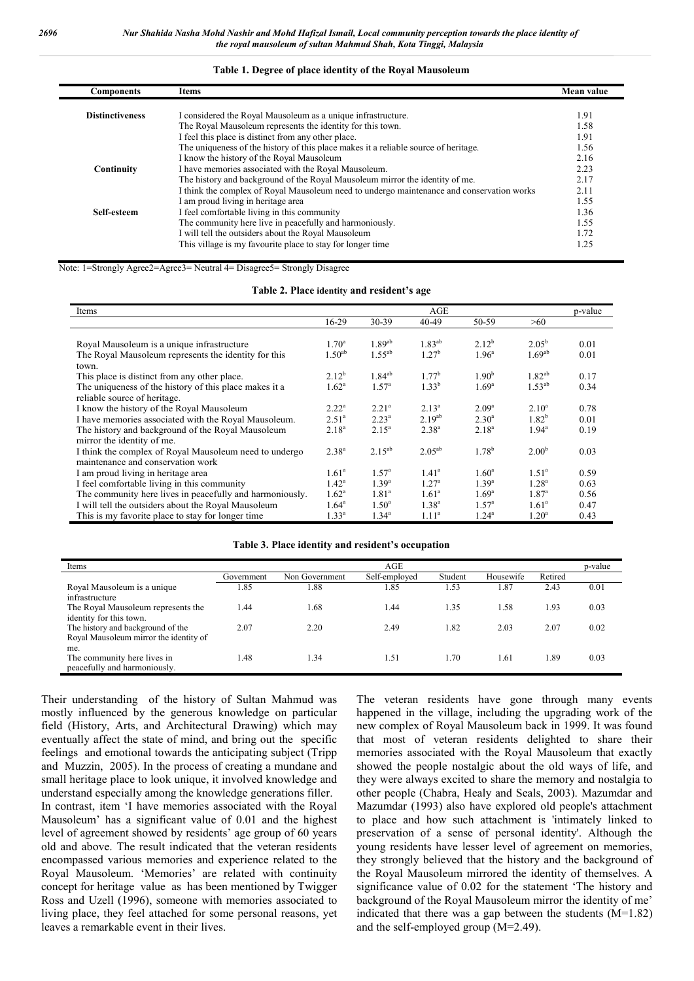#### **Table 1. Degree of place identity of the Royal Mausoleum**

| <b>Components</b>      | Items                                                                                     | Mean value |
|------------------------|-------------------------------------------------------------------------------------------|------------|
|                        |                                                                                           |            |
| <b>Distinctiveness</b> | I considered the Royal Mausoleum as a unique infrastructure.                              | 1.91       |
|                        | The Royal Mausoleum represents the identity for this town.                                | 1.58       |
|                        | I feel this place is distinct from any other place.                                       | 1.91       |
|                        | The uniqueness of the history of this place makes it a reliable source of heritage.       | 1.56       |
|                        | I know the history of the Royal Mausoleum                                                 | 2.16       |
| Continuity             | I have memories associated with the Royal Mausoleum.                                      | 2.23       |
|                        | The history and background of the Royal Mausoleum mirror the identity of me.              | 2.17       |
|                        | I think the complex of Royal Mausoleum need to undergo maintenance and conservation works | 2.11       |
|                        | I am proud living in heritage area                                                        | 1.55       |
| Self-esteem            | I feel comfortable living in this community                                               | 1.36       |
|                        | The community here live in peacefully and harmoniously.                                   | 1.55       |
|                        | I will tell the outsiders about the Royal Mausoleum                                       | 1.72       |
|                        | This village is my favourite place to stay for longer time                                | 1.25       |

Note: 1=Strongly Agree2=Agree3= Neutral 4= Disagree5= Strongly Disagree

|  |  |  |  |  | Table 2. Place identity and resident's age |  |
|--|--|--|--|--|--------------------------------------------|--|
|--|--|--|--|--|--------------------------------------------|--|

| Items                                                    |                    | AGE               |                   |                   |                    | p-value |
|----------------------------------------------------------|--------------------|-------------------|-------------------|-------------------|--------------------|---------|
|                                                          | 16-29              | 30-39             | 40-49             | 50-59             | >60                |         |
|                                                          |                    |                   |                   |                   |                    |         |
| Royal Mausoleum is a unique infrastructure               | $1.70^{\circ}$     | $1.89^{ab}$       | $1.83^{ab}$       | $2.12^{b}$        | $2.05^{\rm b}$     | 0.01    |
| The Royal Mausoleum represents the identity for this     | 1.50 <sup>ab</sup> | $1.55^{ab}$       | 1.27 <sup>b</sup> | 1.96 <sup>a</sup> | 1.69 <sup>ab</sup> | 0.01    |
| town.                                                    |                    |                   |                   |                   |                    |         |
| This place is distinct from any other place.             | $2.12^{b}$         | $1.84^{ab}$       | $1.77^{\rm b}$    | 1.90 <sup>b</sup> | $1.82^{ab}$        | 0.17    |
| The uniqueness of the history of this place makes it a   | $1.62^a$           | 1.57 <sup>a</sup> | $1.33^{b}$        | 1.69 <sup>a</sup> | $1.53^{ab}$        | 0.34    |
| reliable source of heritage.                             |                    |                   |                   |                   |                    |         |
| I know the history of the Royal Mausoleum                | $2.22^{\rm a}$     | $2.21^a$          | $2.13^{a}$        | $2.09^{\rm a}$    | $2.10^a$           | 0.78    |
| I have memories associated with the Royal Mausoleum.     | $2.51^a$           | $2.23^{a}$        | $2.19^{ab}$       | $2.30^{\rm a}$    | $1.82^{b}$         | 0.01    |
| The history and background of the Royal Mausoleum        | $2.18^{a}$         | $2.15^a$          | $2.38^{a}$        | $2.18^{a}$        | $1.94^{\rm a}$     | 0.19    |
| mirror the identity of me.                               |                    |                   |                   |                   |                    |         |
| I think the complex of Royal Mausoleum need to undergo   | $2.38^{a}$         | $2.15^{ab}$       | $2.05^{ab}$       | $1.78^{b}$        | 2.00 <sup>b</sup>  | 0.03    |
| maintenance and conservation work                        |                    |                   |                   |                   |                    |         |
| I am proud living in heritage area                       | $1.61^{\circ}$     | 1.57 <sup>a</sup> | $1.41^{\circ}$    | $1.60^{\rm a}$    | $1.51^{\circ}$     | 0.59    |
| I feel comfortable living in this community              | $1.42^a$           | $1.39^{a}$        | $1.27^{\rm a}$    | $1.39^{a}$        | $1.28^{a}$         | 0.63    |
| The community here lives in peacefully and harmoniously. | $1.62^a$           | 1.81 <sup>a</sup> | $1.61^a$          | 1.69 <sup>a</sup> | 1.87 <sup>a</sup>  | 0.56    |
| I will tell the outsiders about the Royal Mausoleum      |                    | $1.50^{\circ}$    | $1.38^{a}$        | $1.57^{\circ}$    | $1.61^a$           | 0.47    |
| This is my favorite place to stay for longer time        |                    | $1.34^{a}$        | 1.11 <sup>a</sup> | $1.24^a$          | $1.20^{\rm a}$     | 0.43    |

#### **Table 3. Place identity and resident's occupation**

| Items                                                                       |            |                | AGE           |         |           |         | p-value |
|-----------------------------------------------------------------------------|------------|----------------|---------------|---------|-----------|---------|---------|
|                                                                             | Government | Non Government | Self-employed | Student | Housewife | Retired |         |
| Royal Mausoleum is a unique<br>infrastructure                               | 1.85       | .88            | .85           | 1.53    | .87       | 2.43    | 0.01    |
| The Royal Mausoleum represents the<br>identity for this town.               | 1.44       | 1.68           | .44           | 1.35    | 1.58      | 1.93    | 0.03    |
| The history and background of the<br>Royal Mausoleum mirror the identity of | 2.07       | 2.20           | 2.49          | 1.82    | 2.03      | 2.07    | 0.02    |
| me.<br>The community here lives in<br>peacefully and harmoniously.          | 1.48       | .34            | l.51          | 1.70    | 1.61      | . 89    | 0.03    |

Their understanding of the history of Sultan Mahmud was mostly influenced by the generous knowledge on particular field (History, Arts, and Architectural Drawing) which may eventually affect the state of mind, and bring out the specific feelings and emotional towards the anticipating subject (Tripp and Muzzin, 2005). In the process of creating a mundane and small heritage place to look unique, it involved knowledge and understand especially among the knowledge generations filler. In contrast, item 'I have memories associated with the Royal Mausoleum' has a significant value of 0.01 and the highest level of agreement showed by residents' age group of 60 years old and above. The result indicated that the veteran residents encompassed various memories and experience related to the Royal Mausoleum. 'Memories' are related with continuity concept for heritage value as has been mentioned by Twigger Ross and Uzell (1996), someone with memories associated to living place, they feel attached for some personal reasons, yet leaves a remarkable event in their lives.

The veteran residents have gone through many events happened in the village, including the upgrading work of the new complex of Royal Mausoleum back in 1999. It was found that most of veteran residents delighted to share their memories associated with the Royal Mausoleum that exactly showed the people nostalgic about the old ways of life, and they were always excited to share the memory and nostalgia to other people (Chabra, Healy and Seals, 2003). Mazumdar and Mazumdar (1993) also have explored old people's attachment to place and how such attachment is 'intimately linked to preservation of a sense of personal identity'. Although the young residents have lesser level of agreement on memories, they strongly believed that the history and the background of the Royal Mausoleum mirrored the identity of themselves. A significance value of 0.02 for the statement 'The history and background of the Royal Mausoleum mirror the identity of me' indicated that there was a gap between the students (M=1.82) and the self-employed group (M=2.49).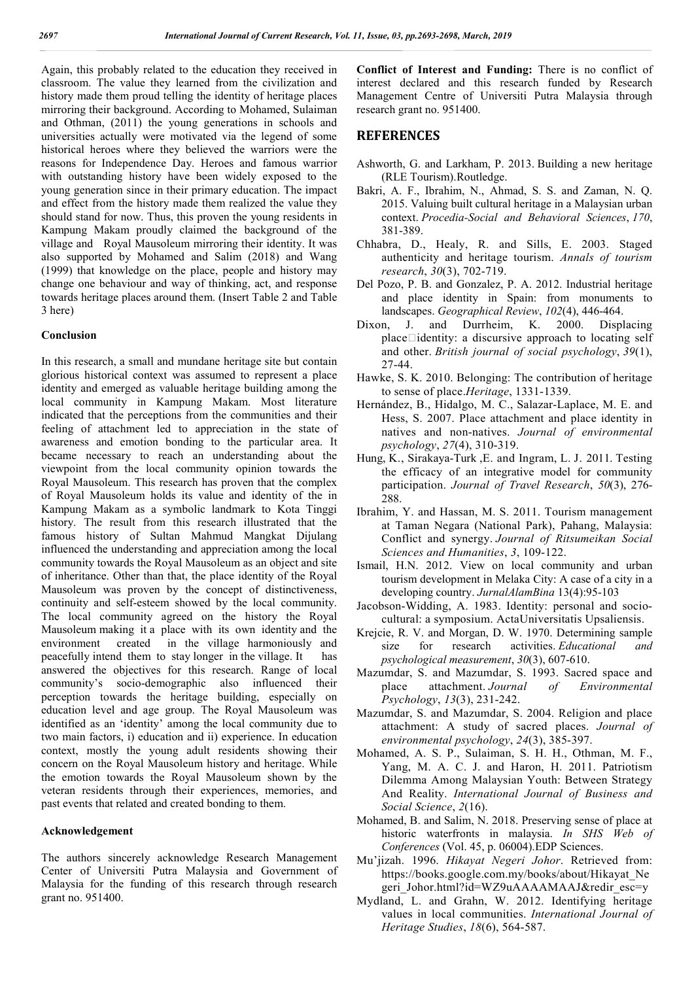Again, this probably related to the education they received in classroom. The value they learned from the civilization and history made them proud telling the identity of heritage places mirroring their background. According to Mohamed, Sulaiman and Othman, (2011) the young generations in schools and universities actually were motivated via the legend of some historical heroes where they believed the warriors were the reasons for Independence Day. Heroes and famous warrior with outstanding history have been widely exposed to the young generation since in their primary education. The impact and effect from the history made them realized the value they should stand for now. Thus, this proven the young residents in Kampung Makam proudly claimed the background of the village and Royal Mausoleum mirroring their identity. It was also supported by Mohamed and Salim (2018) and Wang (1999) that knowledge on the place, people and history may change one behaviour and way of thinking, act, and response towards heritage places around them. (Insert Table 2 and Table 3 here)

#### **Conclusion**

In this research, a small and mundane heritage site but contain glorious historical context was assumed to represent a place identity and emerged as valuable heritage building among the local community in Kampung Makam. Most literature indicated that the perceptions from the communities and their feeling of attachment led to appreciation in the state of awareness and emotion bonding to the particular area. It became necessary to reach an understanding about the viewpoint from the local community opinion towards the Royal Mausoleum. This research has proven that the complex of Royal Mausoleum holds its value and identity of the in Kampung Makam as a symbolic landmark to Kota Tinggi history. The result from this research illustrated that the famous history of Sultan Mahmud Mangkat Dijulang influenced the understanding and appreciation among the local community towards the Royal Mausoleum as an object and site of inheritance. Other than that, the place identity of the Royal Mausoleum was proven by the concept of distinctiveness, continuity and self-esteem showed by the local community. The local community agreed on the history the Royal Mausoleum making it a place with its own identity and the environment created in the village harmoniously and peacefully intend them to stay longer in the village. It has answered the objectives for this research. Range of local community's socio-demographic also influenced their perception towards the heritage building, especially on education level and age group. The Royal Mausoleum was identified as an 'identity' among the local community due to two main factors, i) education and ii) experience. In education context, mostly the young adult residents showing their concern on the Royal Mausoleum history and heritage. While the emotion towards the Royal Mausoleum shown by the veteran residents through their experiences, memories, and past events that related and created bonding to them.

### **Acknowledgement**

The authors sincerely acknowledge Research Management Center of Universiti Putra Malaysia and Government of Malaysia for the funding of this research through research grant no. 951400.

**Conflict of Interest and Funding:** There is no conflict of interest declared and this research funded by Research Management Centre of Universiti Putra Malaysia through research grant no. 951400.

### **REFERENCES**

- Ashworth, G. and Larkham, P. 2013. Building a new heritage (RLE Tourism).Routledge.
- Bakri, A. F., Ibrahim, N., Ahmad, S. S. and Zaman, N. Q. 2015. Valuing built cultural heritage in a Malaysian urban context. *Procedia-Social and Behavioral Sciences*, *170*, 381-389.
- Chhabra, D., Healy, R. and Sills, E. 2003. Staged authenticity and heritage tourism. *Annals of tourism research*, *30*(3), 702-719.
- Del Pozo, P. B. and Gonzalez, P. A. 2012. Industrial heritage and place identity in Spain: from monuments to landscapes. *Geographical Review*, *102*(4), 446-464.
- Dixon, J. and Durrheim, K. 2000. Displacing  $place$ identity: a discursive approach to locating self and other. *British journal of social psychology*, *39*(1), 27-44.
- Hawke, S. K. 2010. Belonging: The contribution of heritage to sense of place.*Heritage*, 1331-1339.
- Hernández, B., Hidalgo, M. C., Salazar-Laplace, M. E. and Hess, S. 2007. Place attachment and place identity in natives and non-natives. *Journal of environmental psychology*, *27*(4), 310-319.
- Hung, K., Sirakaya-Turk ,E. and Ingram, L. J. 2011. Testing the efficacy of an integrative model for community participation. *Journal of Travel Research*, *50*(3), 276- 288.
- Ibrahim, Y. and Hassan, M. S. 2011. Tourism management at Taman Negara (National Park), Pahang, Malaysia: Conflict and synergy. *Journal of Ritsumeikan Social Sciences and Humanities*, *3*, 109-122.
- Ismail, H.N. 2012. View on local community and urban tourism development in Melaka City: A case of a city in a developing country. *JurnalAlamBina* 13(4):95-103
- Jacobson-Widding, A. 1983. Identity: personal and sociocultural: a symposium. ActaUniversitatis Upsaliensis.
- Krejcie, R. V. and Morgan, D. W. 1970. Determining sample size for research activities. *Educational and psychological measurement*, *30*(3), 607-610.
- Mazumdar, S. and Mazumdar, S. 1993. Sacred space and place attachment. *Journal of Environmental Psychology*, *13*(3), 231-242.
- Mazumdar, S. and Mazumdar, S. 2004. Religion and place attachment: A study of sacred places. *Journal of environmental psychology*, *24*(3), 385-397.
- Mohamed, A. S. P., Sulaiman, S. H. H., Othman, M. F., Yang, M. A. C. J. and Haron, H. 2011. Patriotism Dilemma Among Malaysian Youth: Between Strategy And Reality. *International Journal of Business and Social Science*, *2*(16).
- Mohamed, B. and Salim, N. 2018. Preserving sense of place at historic waterfronts in malaysia. *In SHS Web of Conferences* (Vol. 45, p. 06004).EDP Sciences.
- Mu'jizah. 1996. *Hikayat Negeri Johor*. Retrieved from: https://books.google.com.my/books/about/Hikayat\_Ne geri\_Johor.html?id=WZ9uAAAAMAAJ&redir\_esc=y
- Mydland, L. and Grahn, W. 2012. Identifying heritage values in local communities. *International Journal of Heritage Studies*, *18*(6), 564-587.